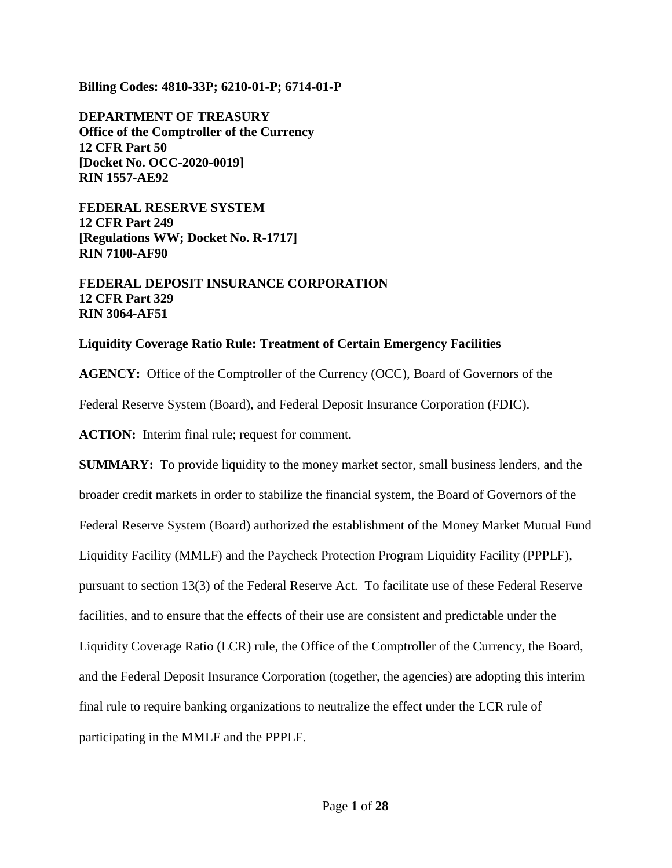**Billing Codes: 4810-33P; 6210-01-P; 6714-01-P**

**DEPARTMENT OF TREASURY Office of the Comptroller of the Currency 12 CFR Part 50 [Docket No. OCC-2020-0019] RIN 1557-AE92**

**FEDERAL RESERVE SYSTEM 12 CFR Part 249 [Regulations WW; Docket No. R-1717] RIN 7100-AF90**

**FEDERAL DEPOSIT INSURANCE CORPORATION 12 CFR Part 329 RIN 3064-AF51**

#### **Liquidity Coverage Ratio Rule: Treatment of Certain Emergency Facilities**

**AGENCY:** Office of the Comptroller of the Currency (OCC), Board of Governors of the

Federal Reserve System (Board), and Federal Deposit Insurance Corporation (FDIC).

**ACTION:** Interim final rule; request for comment.

**SUMMARY:** To provide liquidity to the money market sector, small business lenders, and the broader credit markets in order to stabilize the financial system, the Board of Governors of the Federal Reserve System (Board) authorized the establishment of the Money Market Mutual Fund Liquidity Facility (MMLF) and the Paycheck Protection Program Liquidity Facility (PPPLF), pursuant to section 13(3) of the Federal Reserve Act. To facilitate use of these Federal Reserve facilities, and to ensure that the effects of their use are consistent and predictable under the Liquidity Coverage Ratio (LCR) rule, the Office of the Comptroller of the Currency, the Board, and the Federal Deposit Insurance Corporation (together, the agencies) are adopting this interim final rule to require banking organizations to neutralize the effect under the LCR rule of participating in the MMLF and the PPPLF.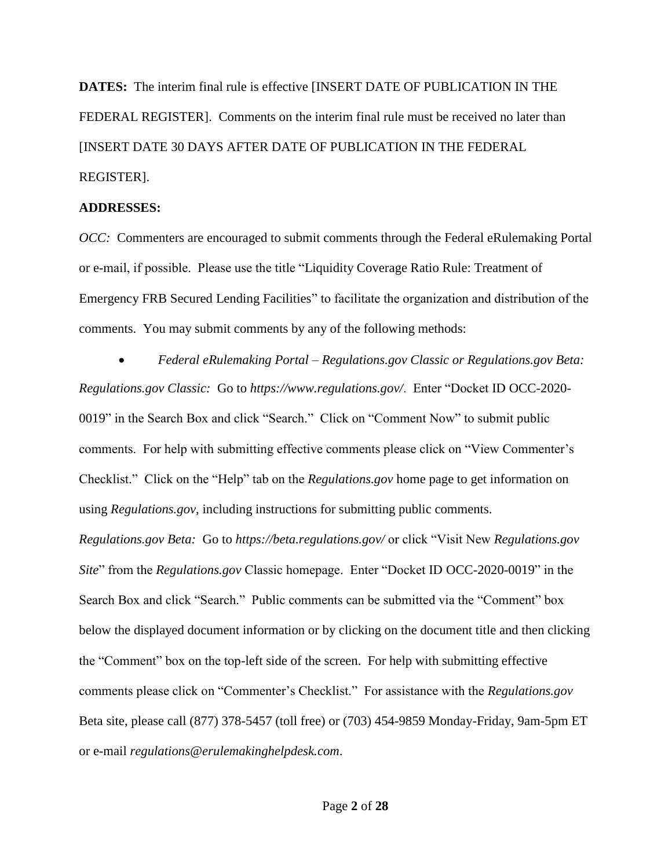**DATES:** The interim final rule is effective [INSERT DATE OF PUBLICATION IN THE FEDERAL REGISTER]. Comments on the interim final rule must be received no later than [INSERT DATE 30 DAYS AFTER DATE OF PUBLICATION IN THE FEDERAL REGISTER].

#### **ADDRESSES:**

*OCC:* Commenters are encouraged to submit comments through the Federal eRulemaking Portal or e-mail, if possible. Please use the title "Liquidity Coverage Ratio Rule: Treatment of Emergency FRB Secured Lending Facilities" to facilitate the organization and distribution of the comments. You may submit comments by any of the following methods:

 *Federal eRulemaking Portal – Regulations.gov Classic or Regulations.gov Beta: Regulations.gov Classic:* Go to *https://www.regulations.gov/*. Enter "Docket ID OCC-2020- 0019" in the Search Box and click "Search." Click on "Comment Now" to submit public comments. For help with submitting effective comments please click on "View Commenter's Checklist." Click on the "Help" tab on the *Regulations.gov* home page to get information on using *Regulations.gov*, including instructions for submitting public comments.

*Regulations.gov Beta:* Go to *https://beta.regulations.gov/* or click "Visit New *Regulations.gov Site*" from the *Regulations.gov* Classic homepage. Enter "Docket ID OCC-2020-0019" in the Search Box and click "Search." Public comments can be submitted via the "Comment" box below the displayed document information or by clicking on the document title and then clicking the "Comment" box on the top-left side of the screen. For help with submitting effective comments please click on "Commenter's Checklist." For assistance with the *Regulations.gov* Beta site, please call (877) 378-5457 (toll free) or (703) 454-9859 Monday-Friday, 9am-5pm ET or e-mail *regulations@erulemakinghelpdesk.com*.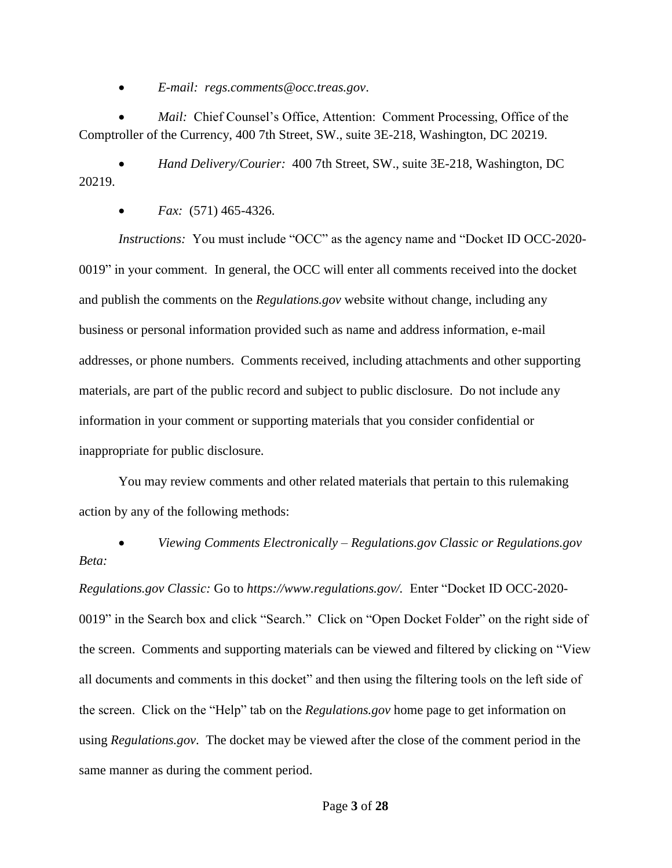*E-mail: regs.comments@occ.treas.gov*.

*Mail:* Chief Counsel's Office, Attention: Comment Processing, Office of the Comptroller of the Currency, 400 7th Street, SW., suite 3E-218, Washington, DC 20219.

 *Hand Delivery/Courier:* 400 7th Street, SW., suite 3E-218, Washington, DC 20219.

*Fax:*(571) 465-4326.

*Instructions:* You must include "OCC" as the agency name and "Docket ID OCC-2020- 0019" in your comment. In general, the OCC will enter all comments received into the docket and publish the comments on the *Regulations.gov* website without change, including any business or personal information provided such as name and address information, e-mail addresses, or phone numbers. Comments received, including attachments and other supporting materials, are part of the public record and subject to public disclosure. Do not include any information in your comment or supporting materials that you consider confidential or inappropriate for public disclosure.

You may review comments and other related materials that pertain to this rulemaking action by any of the following methods:

 *Viewing Comments Electronically – Regulations.gov Classic or Regulations.gov Beta:*

*Regulations.gov Classic:* Go to *https://www.regulations.gov/.* Enter "Docket ID OCC-2020- 0019" in the Search box and click "Search." Click on "Open Docket Folder" on the right side of the screen. Comments and supporting materials can be viewed and filtered by clicking on "View all documents and comments in this docket" and then using the filtering tools on the left side of the screen. Click on the "Help" tab on the *Regulations.gov* home page to get information on using *Regulations.gov*. The docket may be viewed after the close of the comment period in the same manner as during the comment period.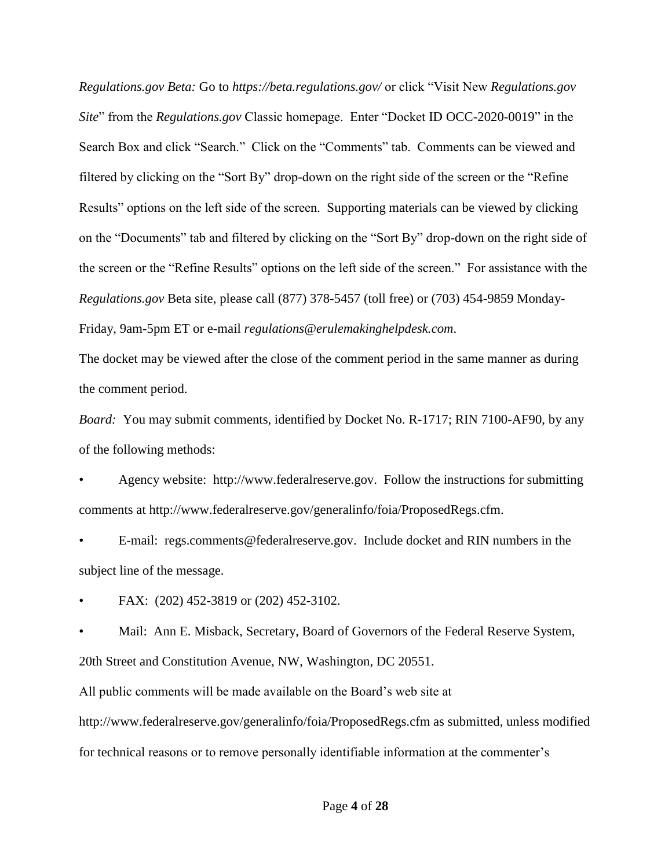*Regulations.gov Beta:* Go to *https://beta.regulations.gov/* or click "Visit New *Regulations.gov Site*" from the *Regulations.gov* Classic homepage. Enter "Docket ID OCC-2020-0019" in the Search Box and click "Search." Click on the "Comments" tab. Comments can be viewed and filtered by clicking on the "Sort By" drop-down on the right side of the screen or the "Refine Results" options on the left side of the screen. Supporting materials can be viewed by clicking on the "Documents" tab and filtered by clicking on the "Sort By" drop-down on the right side of the screen or the "Refine Results" options on the left side of the screen." For assistance with the *Regulations.gov* Beta site, please call (877) 378-5457 (toll free) or (703) 454-9859 Monday-Friday, 9am-5pm ET or e-mail *regulations@erulemakinghelpdesk.com*.

The docket may be viewed after the close of the comment period in the same manner as during the comment period.

*Board:* You may submit comments, identified by Docket No. R-1717; RIN 7100-AF90, by any of the following methods:

• Agency website: http://www.federalreserve.gov. Follow the instructions for submitting comments at http://www.federalreserve.gov/generalinfo/foia/ProposedRegs.cfm.

• E-mail: regs.comments@federalreserve.gov. Include docket and RIN numbers in the subject line of the message.

• FAX: (202) 452-3819 or (202) 452-3102.

• Mail: Ann E. Misback, Secretary, Board of Governors of the Federal Reserve System, 20th Street and Constitution Avenue, NW, Washington, DC 20551.

All public comments will be made available on the Board's web site at

http://www.federalreserve.gov/generalinfo/foia/ProposedRegs.cfm as submitted, unless modified for technical reasons or to remove personally identifiable information at the commenter's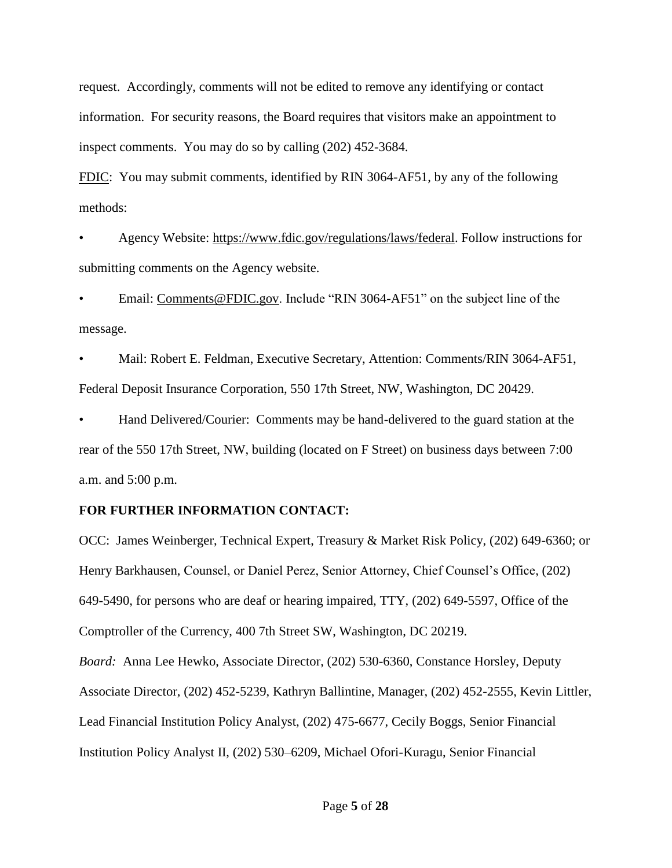request. Accordingly, comments will not be edited to remove any identifying or contact information. For security reasons, the Board requires that visitors make an appointment to inspect comments. You may do so by calling (202) 452-3684.

FDIC: You may submit comments, identified by RIN 3064-AF51, by any of the following methods:

• Agency Website: https://www.fdic.gov/regulations/laws/federal. Follow instructions for submitting comments on the Agency website.

• Email: Comments@FDIC.gov. Include "RIN 3064-AF51" on the subject line of the message.

• Mail: Robert E. Feldman, Executive Secretary, Attention: Comments/RIN 3064-AF51, Federal Deposit Insurance Corporation, 550 17th Street, NW, Washington, DC 20429.

• Hand Delivered/Courier: Comments may be hand-delivered to the guard station at the rear of the 550 17th Street, NW, building (located on F Street) on business days between 7:00 a.m. and 5:00 p.m.

### **FOR FURTHER INFORMATION CONTACT:**

OCC: James Weinberger, Technical Expert, Treasury & Market Risk Policy, (202) 649-6360; or Henry Barkhausen, Counsel, or Daniel Perez, Senior Attorney, Chief Counsel's Office, (202) 649-5490, for persons who are deaf or hearing impaired, TTY, (202) 649-5597, Office of the Comptroller of the Currency, 400 7th Street SW, Washington, DC 20219. *Board:* Anna Lee Hewko, Associate Director, (202) 530-6360, Constance Horsley, Deputy Associate Director, (202) 452-5239, Kathryn Ballintine, Manager, (202) 452-2555, Kevin Littler, Lead Financial Institution Policy Analyst, (202) 475-6677, Cecily Boggs, Senior Financial Institution Policy Analyst II, (202) 530–6209, Michael Ofori-Kuragu, Senior Financial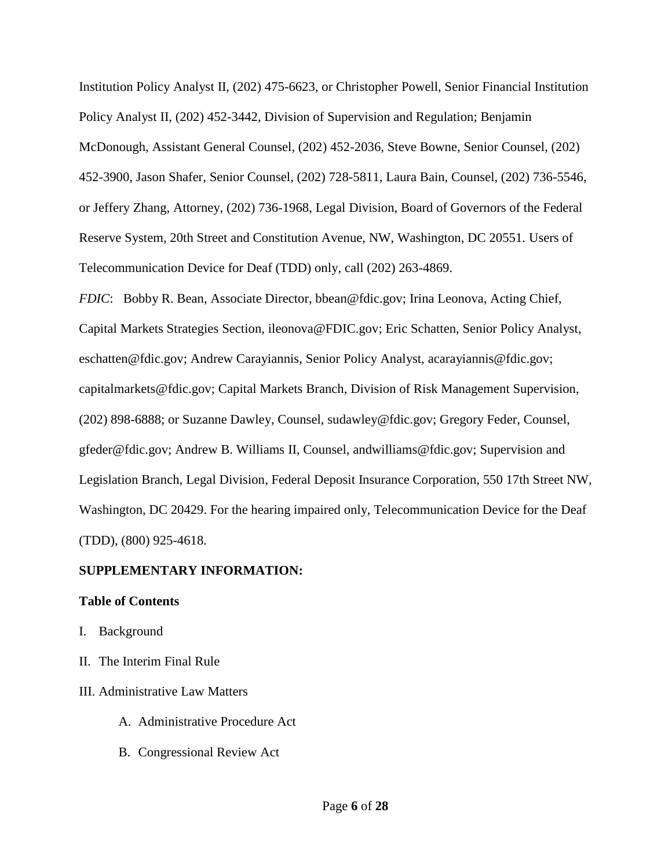Institution Policy Analyst II, (202) 475-6623, or Christopher Powell, Senior Financial Institution Policy Analyst II, (202) 452-3442, Division of Supervision and Regulation; Benjamin McDonough, Assistant General Counsel, (202) 452-2036, Steve Bowne, Senior Counsel, (202) 452-3900, Jason Shafer, Senior Counsel, (202) 728-5811, Laura Bain, Counsel, (202) 736-5546, or Jeffery Zhang, Attorney, (202) 736-1968, Legal Division, Board of Governors of the Federal Reserve System, 20th Street and Constitution Avenue, NW, Washington, DC 20551. Users of Telecommunication Device for Deaf (TDD) only, call (202) 263-4869.

*FDIC*: Bobby R. Bean, Associate Director, bbean@fdic.gov; Irina Leonova, Acting Chief, Capital Markets Strategies Section, ileonova@FDIC.gov; Eric Schatten, Senior Policy Analyst, eschatten@fdic.gov; Andrew Carayiannis, Senior Policy Analyst, acarayiannis@fdic.gov; capitalmarkets@fdic.gov; Capital Markets Branch, Division of Risk Management Supervision, (202) 898-6888; or Suzanne Dawley, Counsel, sudawley@fdic.gov; Gregory Feder, Counsel, gfeder@fdic.gov; Andrew B. Williams II, Counsel, andwilliams@fdic.gov; Supervision and Legislation Branch, Legal Division, Federal Deposit Insurance Corporation, 550 17th Street NW, Washington, DC 20429. For the hearing impaired only, Telecommunication Device for the Deaf (TDD), (800) 925-4618.

### **SUPPLEMENTARY INFORMATION:**

#### **Table of Contents**

- I. Background
- II. The Interim Final Rule
- III. Administrative Law Matters
	- A. Administrative Procedure Act
	- B. Congressional Review Act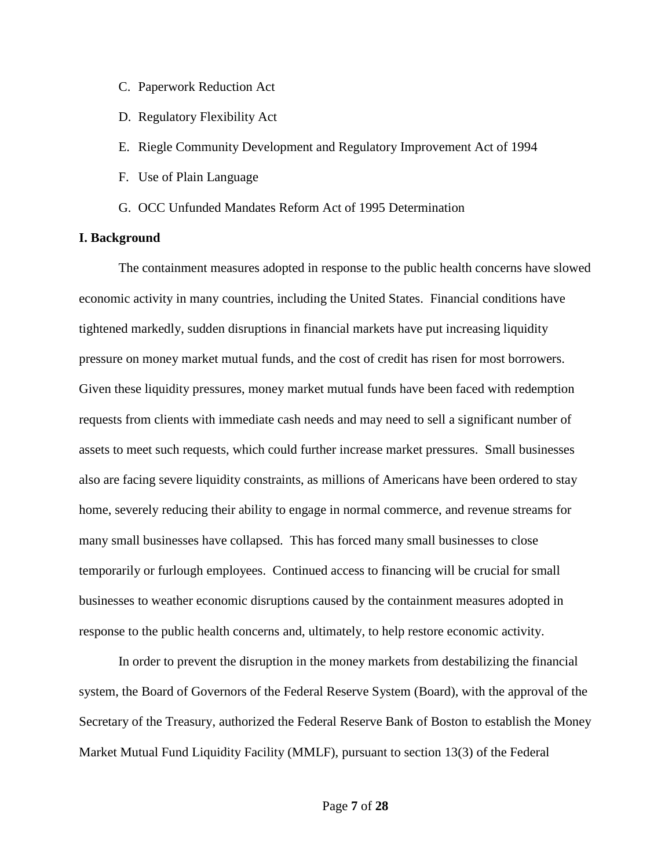- C. Paperwork Reduction Act
- D. Regulatory Flexibility Act
- E. Riegle Community Development and Regulatory Improvement Act of 1994
- F. Use of Plain Language
- G. OCC Unfunded Mandates Reform Act of 1995 Determination

#### **I. Background**

The containment measures adopted in response to the public health concerns have slowed economic activity in many countries, including the United States. Financial conditions have tightened markedly, sudden disruptions in financial markets have put increasing liquidity pressure on money market mutual funds, and the cost of credit has risen for most borrowers. Given these liquidity pressures, money market mutual funds have been faced with redemption requests from clients with immediate cash needs and may need to sell a significant number of assets to meet such requests, which could further increase market pressures. Small businesses also are facing severe liquidity constraints, as millions of Americans have been ordered to stay home, severely reducing their ability to engage in normal commerce, and revenue streams for many small businesses have collapsed. This has forced many small businesses to close temporarily or furlough employees. Continued access to financing will be crucial for small businesses to weather economic disruptions caused by the containment measures adopted in response to the public health concerns and, ultimately, to help restore economic activity.

In order to prevent the disruption in the money markets from destabilizing the financial system, the Board of Governors of the Federal Reserve System (Board), with the approval of the Secretary of the Treasury, authorized the Federal Reserve Bank of Boston to establish the Money Market Mutual Fund Liquidity Facility (MMLF), pursuant to section 13(3) of the Federal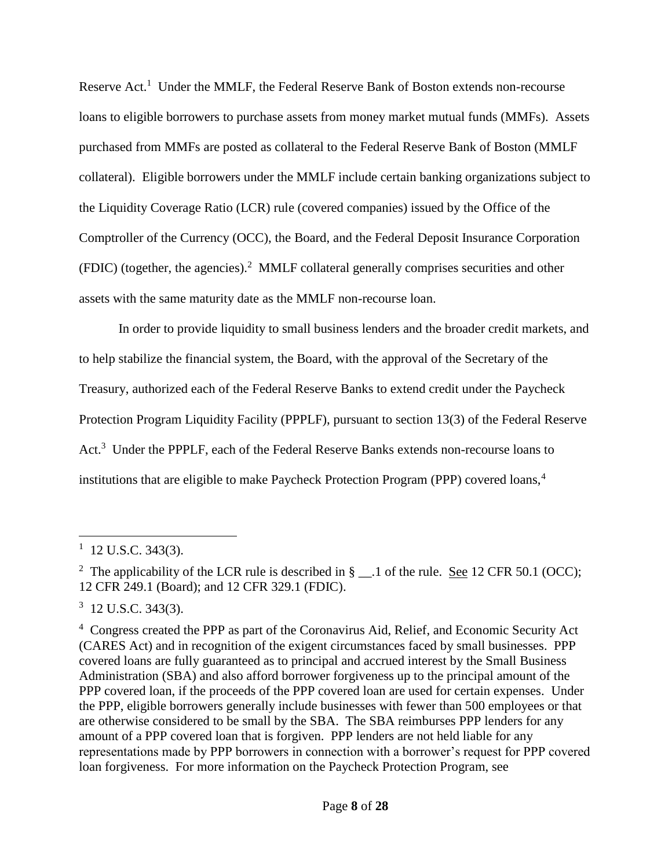Reserve  $Act.$ <sup>1</sup> Under the MMLF, the Federal Reserve Bank of Boston extends non-recourse loans to eligible borrowers to purchase assets from money market mutual funds (MMFs). Assets purchased from MMFs are posted as collateral to the Federal Reserve Bank of Boston (MMLF collateral). Eligible borrowers under the MMLF include certain banking organizations subject to the Liquidity Coverage Ratio (LCR) rule (covered companies) issued by the Office of the Comptroller of the Currency (OCC), the Board, and the Federal Deposit Insurance Corporation (FDIC) (together, the agencies). 2 MMLF collateral generally comprises securities and other assets with the same maturity date as the MMLF non-recourse loan.

In order to provide liquidity to small business lenders and the broader credit markets, and to help stabilize the financial system, the Board, with the approval of the Secretary of the Treasury, authorized each of the Federal Reserve Banks to extend credit under the Paycheck Protection Program Liquidity Facility (PPPLF), pursuant to section 13(3) of the Federal Reserve Act.<sup>3</sup> Under the PPPLF, each of the Federal Reserve Banks extends non-recourse loans to institutions that are eligible to make Paycheck Protection Program (PPP) covered loans,<sup>4</sup>

 $1$  12 U.S.C. 343(3).

<sup>&</sup>lt;sup>2</sup> The applicability of the LCR rule is described in  $\S$  \_\_.1 of the rule. <u>See</u> 12 CFR 50.1 (OCC); 12 CFR 249.1 (Board); and 12 CFR 329.1 (FDIC).

 $3 \text{ } 12 \text{ U.S.C. } 343(3)$ .

<sup>&</sup>lt;sup>4</sup> Congress created the PPP as part of the Coronavirus Aid, Relief, and Economic Security Act (CARES Act) and in recognition of the exigent circumstances faced by small businesses. PPP covered loans are fully guaranteed as to principal and accrued interest by the Small Business Administration (SBA) and also afford borrower forgiveness up to the principal amount of the PPP covered loan, if the proceeds of the PPP covered loan are used for certain expenses. Under the PPP, eligible borrowers generally include businesses with fewer than 500 employees or that are otherwise considered to be small by the SBA. The SBA reimburses PPP lenders for any amount of a PPP covered loan that is forgiven. PPP lenders are not held liable for any representations made by PPP borrowers in connection with a borrower's request for PPP covered loan forgiveness. For more information on the Paycheck Protection Program, see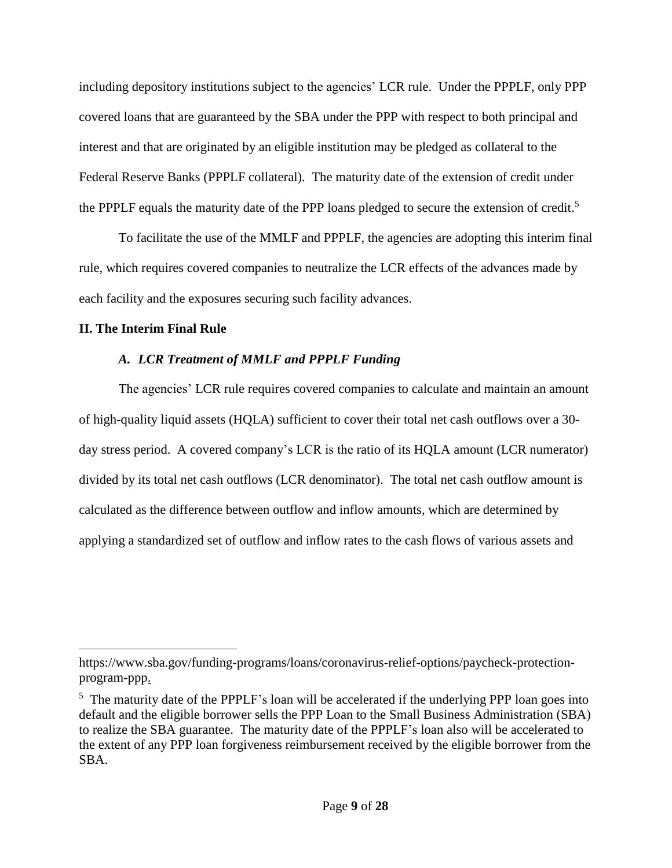including depository institutions subject to the agencies' LCR rule. Under the PPPLF, only PPP covered loans that are guaranteed by the SBA under the PPP with respect to both principal and interest and that are originated by an eligible institution may be pledged as collateral to the Federal Reserve Banks (PPPLF collateral). The maturity date of the extension of credit under the PPPLF equals the maturity date of the PPP loans pledged to secure the extension of credit.<sup>5</sup>

To facilitate the use of the MMLF and PPPLF, the agencies are adopting this interim final rule, which requires covered companies to neutralize the LCR effects of the advances made by each facility and the exposures securing such facility advances.

### **II. The Interim Final Rule**

 $\overline{a}$ 

## *A. LCR Treatment of MMLF and PPPLF Funding*

The agencies' LCR rule requires covered companies to calculate and maintain an amount of high-quality liquid assets (HQLA) sufficient to cover their total net cash outflows over a 30 day stress period. A covered company's LCR is the ratio of its HQLA amount (LCR numerator) divided by its total net cash outflows (LCR denominator). The total net cash outflow amount is calculated as the difference between outflow and inflow amounts, which are determined by applying a standardized set of outflow and inflow rates to the cash flows of various assets and

https://www.sba.gov/funding-programs/loans/coronavirus-relief-options/paycheck-protectionprogram-ppp.

<sup>&</sup>lt;sup>5</sup> The maturity date of the PPPLF's loan will be accelerated if the underlying PPP loan goes into default and the eligible borrower sells the PPP Loan to the Small Business Administration (SBA) to realize the SBA guarantee. The maturity date of the PPPLF's loan also will be accelerated to the extent of any PPP loan forgiveness reimbursement received by the eligible borrower from the SBA.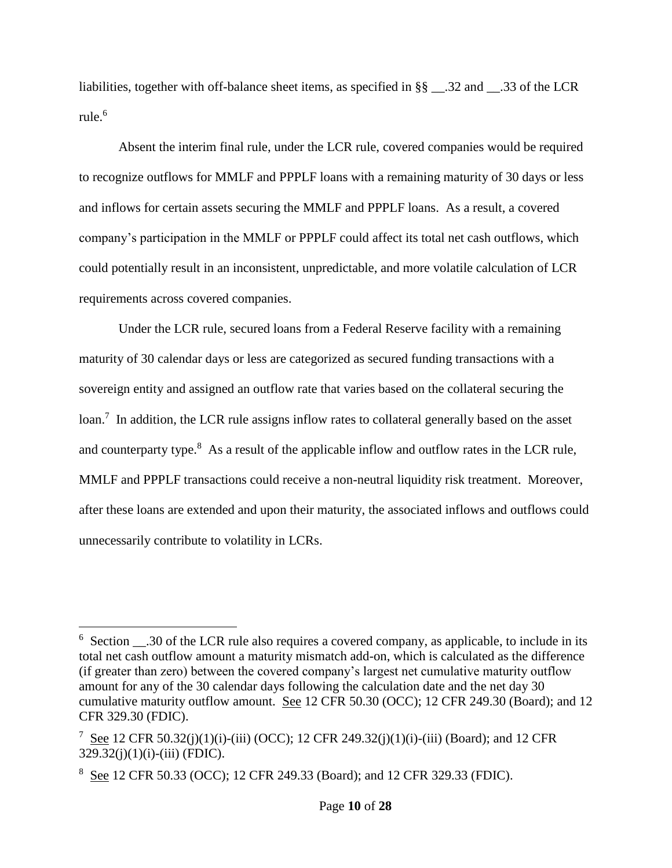liabilities, together with off-balance sheet items, as specified in §§ \_\_.32 and \_\_.33 of the LCR rule.<sup>6</sup>

Absent the interim final rule, under the LCR rule, covered companies would be required to recognize outflows for MMLF and PPPLF loans with a remaining maturity of 30 days or less and inflows for certain assets securing the MMLF and PPPLF loans. As a result, a covered company's participation in the MMLF or PPPLF could affect its total net cash outflows, which could potentially result in an inconsistent, unpredictable, and more volatile calculation of LCR requirements across covered companies.

Under the LCR rule, secured loans from a Federal Reserve facility with a remaining maturity of 30 calendar days or less are categorized as secured funding transactions with a sovereign entity and assigned an outflow rate that varies based on the collateral securing the loan.<sup>7</sup> In addition, the LCR rule assigns inflow rates to collateral generally based on the asset and counterparty type.<sup>8</sup> As a result of the applicable inflow and outflow rates in the LCR rule, MMLF and PPPLF transactions could receive a non-neutral liquidity risk treatment. Moreover, after these loans are extended and upon their maturity, the associated inflows and outflows could unnecessarily contribute to volatility in LCRs.

<sup>&</sup>lt;sup>6</sup> Section \_\_\_.30 of the LCR rule also requires a covered company, as applicable, to include in its total net cash outflow amount a maturity mismatch add-on, which is calculated as the difference (if greater than zero) between the covered company's largest net cumulative maturity outflow amount for any of the 30 calendar days following the calculation date and the net day 30 cumulative maturity outflow amount. See 12 CFR 50.30 (OCC); 12 CFR 249.30 (Board); and 12 CFR 329.30 (FDIC).

<sup>&</sup>lt;sup>7</sup> See 12 CFR 50.32(j)(1)(i)-(iii) (OCC); 12 CFR 249.32(j)(1)(i)-(iii) (Board); and 12 CFR  $329.32(i)(1)(i)$ -(iii) (FDIC).

<sup>&</sup>lt;sup>8</sup> See 12 CFR 50.33 (OCC); 12 CFR 249.33 (Board); and 12 CFR 329.33 (FDIC).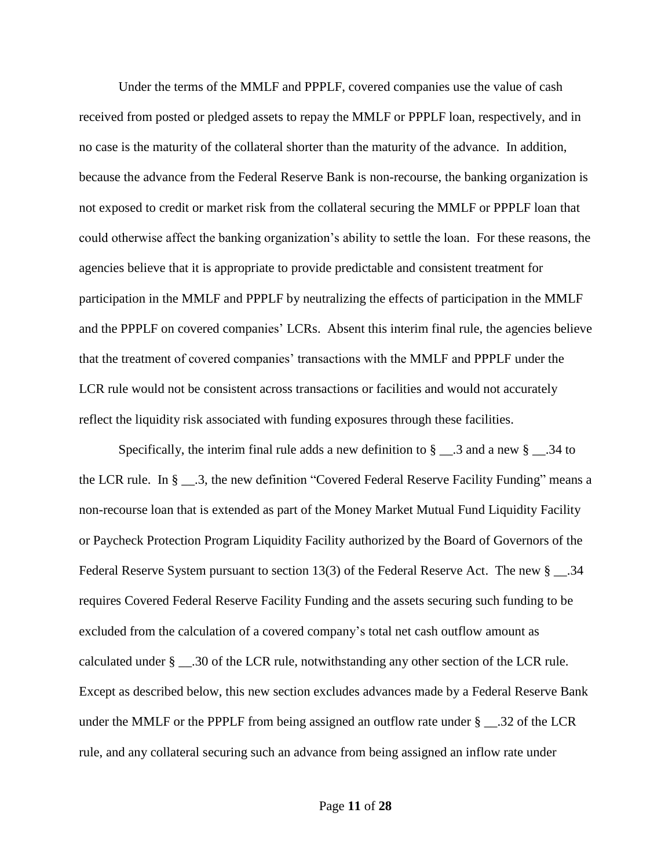Under the terms of the MMLF and PPPLF, covered companies use the value of cash received from posted or pledged assets to repay the MMLF or PPPLF loan, respectively, and in no case is the maturity of the collateral shorter than the maturity of the advance. In addition, because the advance from the Federal Reserve Bank is non-recourse, the banking organization is not exposed to credit or market risk from the collateral securing the MMLF or PPPLF loan that could otherwise affect the banking organization's ability to settle the loan. For these reasons, the agencies believe that it is appropriate to provide predictable and consistent treatment for participation in the MMLF and PPPLF by neutralizing the effects of participation in the MMLF and the PPPLF on covered companies' LCRs. Absent this interim final rule, the agencies believe that the treatment of covered companies' transactions with the MMLF and PPPLF under the LCR rule would not be consistent across transactions or facilities and would not accurately reflect the liquidity risk associated with funding exposures through these facilities.

Specifically, the interim final rule adds a new definition to  $\S$  \_\_.3 and a new  $\S$  \_\_.34 to the LCR rule. In § \_\_.3, the new definition "Covered Federal Reserve Facility Funding" means a non-recourse loan that is extended as part of the Money Market Mutual Fund Liquidity Facility or Paycheck Protection Program Liquidity Facility authorized by the Board of Governors of the Federal Reserve System pursuant to section 13(3) of the Federal Reserve Act. The new  $\S$  \_\_\_.34 requires Covered Federal Reserve Facility Funding and the assets securing such funding to be excluded from the calculation of a covered company's total net cash outflow amount as calculated under § \_\_.30 of the LCR rule, notwithstanding any other section of the LCR rule. Except as described below, this new section excludes advances made by a Federal Reserve Bank under the MMLF or the PPPLF from being assigned an outflow rate under  $\S$  \_\_.32 of the LCR rule, and any collateral securing such an advance from being assigned an inflow rate under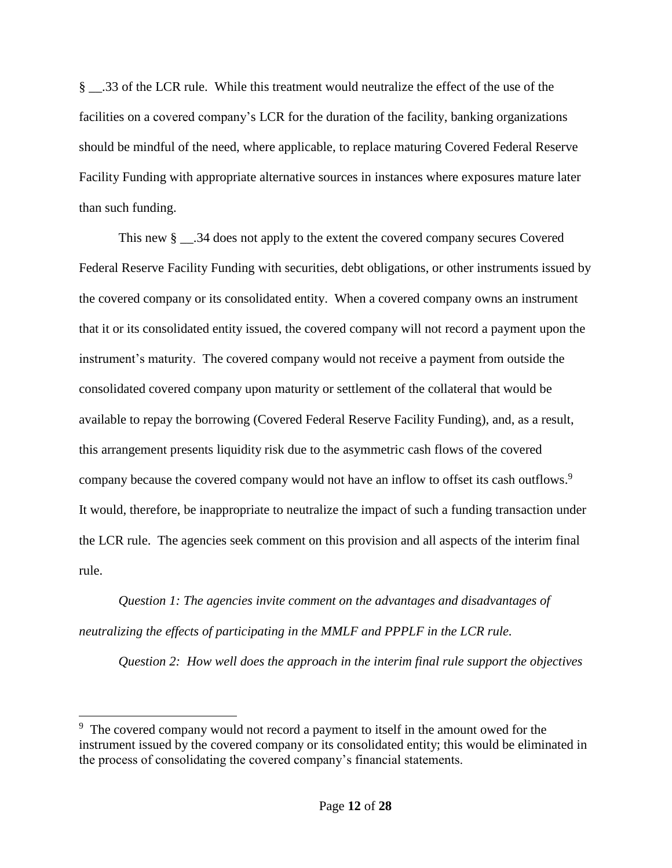§ \_\_.33 of the LCR rule. While this treatment would neutralize the effect of the use of the facilities on a covered company's LCR for the duration of the facility, banking organizations should be mindful of the need, where applicable, to replace maturing Covered Federal Reserve Facility Funding with appropriate alternative sources in instances where exposures mature later than such funding.

This new  $\S$  \_\_\_.34 does not apply to the extent the covered company secures Covered Federal Reserve Facility Funding with securities, debt obligations, or other instruments issued by the covered company or its consolidated entity. When a covered company owns an instrument that it or its consolidated entity issued, the covered company will not record a payment upon the instrument's maturity. The covered company would not receive a payment from outside the consolidated covered company upon maturity or settlement of the collateral that would be available to repay the borrowing (Covered Federal Reserve Facility Funding), and, as a result, this arrangement presents liquidity risk due to the asymmetric cash flows of the covered company because the covered company would not have an inflow to offset its cash outflows.<sup>9</sup> It would, therefore, be inappropriate to neutralize the impact of such a funding transaction under the LCR rule. The agencies seek comment on this provision and all aspects of the interim final rule.

*Question 1: The agencies invite comment on the advantages and disadvantages of neutralizing the effects of participating in the MMLF and PPPLF in the LCR rule.* 

 $\overline{a}$ 

*Question 2: How well does the approach in the interim final rule support the objectives* 

<sup>&</sup>lt;sup>9</sup> The covered company would not record a payment to itself in the amount owed for the instrument issued by the covered company or its consolidated entity; this would be eliminated in the process of consolidating the covered company's financial statements.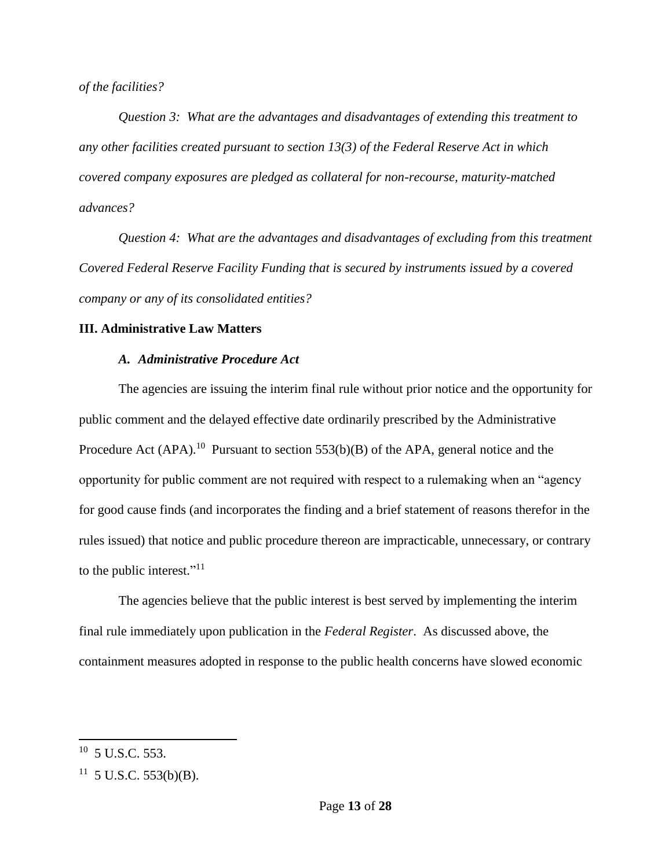*of the facilities?* 

*Question 3: What are the advantages and disadvantages of extending this treatment to any other facilities created pursuant to section 13(3) of the Federal Reserve Act in which covered company exposures are pledged as collateral for non-recourse, maturity-matched advances?* 

*Question 4: What are the advantages and disadvantages of excluding from this treatment Covered Federal Reserve Facility Funding that is secured by instruments issued by a covered company or any of its consolidated entities?*

### **III. Administrative Law Matters**

### *A. Administrative Procedure Act*

The agencies are issuing the interim final rule without prior notice and the opportunity for public comment and the delayed effective date ordinarily prescribed by the Administrative Procedure Act  $(APA)$ .<sup>10</sup> Pursuant to section 553(b)(B) of the APA, general notice and the opportunity for public comment are not required with respect to a rulemaking when an "agency for good cause finds (and incorporates the finding and a brief statement of reasons therefor in the rules issued) that notice and public procedure thereon are impracticable, unnecessary, or contrary to the public interest."<sup>11</sup>

The agencies believe that the public interest is best served by implementing the interim final rule immediately upon publication in the *Federal Register*. As discussed above, the containment measures adopted in response to the public health concerns have slowed economic

 $10$  5 U.S.C. 553.

 $11 \,$  5 U.S.C. 553(b)(B).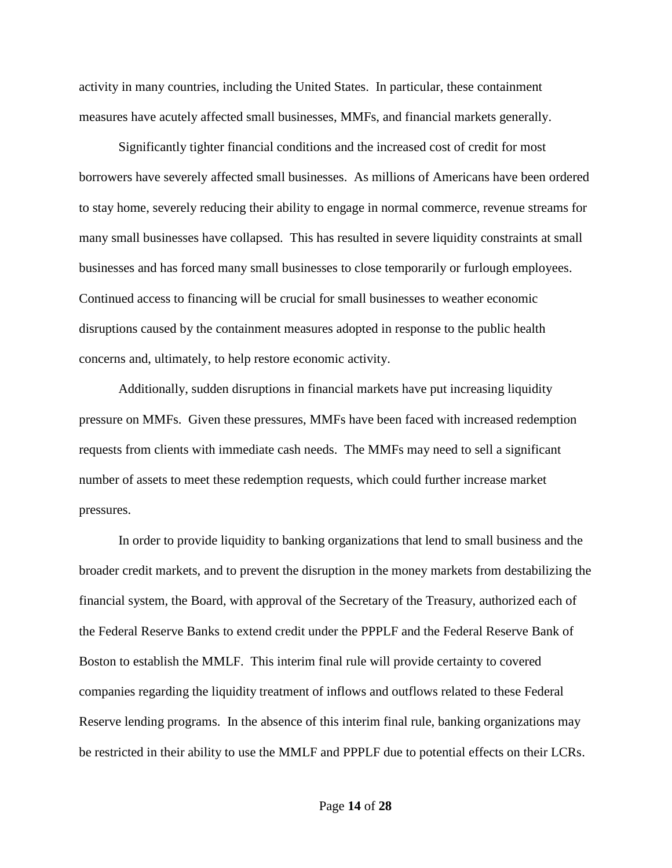activity in many countries, including the United States. In particular, these containment measures have acutely affected small businesses, MMFs, and financial markets generally.

Significantly tighter financial conditions and the increased cost of credit for most borrowers have severely affected small businesses. As millions of Americans have been ordered to stay home, severely reducing their ability to engage in normal commerce, revenue streams for many small businesses have collapsed. This has resulted in severe liquidity constraints at small businesses and has forced many small businesses to close temporarily or furlough employees. Continued access to financing will be crucial for small businesses to weather economic disruptions caused by the containment measures adopted in response to the public health concerns and, ultimately, to help restore economic activity.

Additionally, sudden disruptions in financial markets have put increasing liquidity pressure on MMFs. Given these pressures, MMFs have been faced with increased redemption requests from clients with immediate cash needs. The MMFs may need to sell a significant number of assets to meet these redemption requests, which could further increase market pressures.

In order to provide liquidity to banking organizations that lend to small business and the broader credit markets, and to prevent the disruption in the money markets from destabilizing the financial system, the Board, with approval of the Secretary of the Treasury, authorized each of the Federal Reserve Banks to extend credit under the PPPLF and the Federal Reserve Bank of Boston to establish the MMLF. This interim final rule will provide certainty to covered companies regarding the liquidity treatment of inflows and outflows related to these Federal Reserve lending programs. In the absence of this interim final rule, banking organizations may be restricted in their ability to use the MMLF and PPPLF due to potential effects on their LCRs.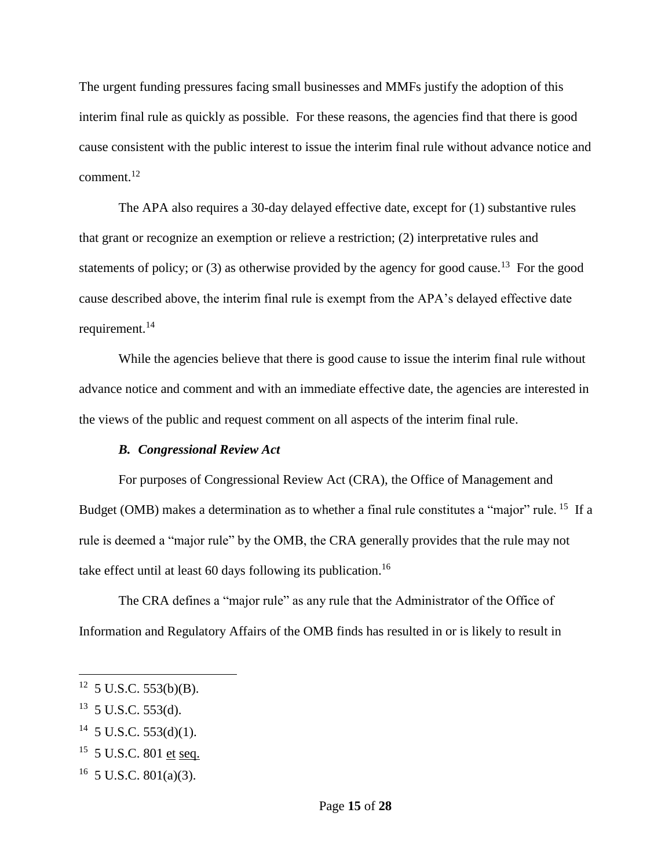The urgent funding pressures facing small businesses and MMFs justify the adoption of this interim final rule as quickly as possible. For these reasons, the agencies find that there is good cause consistent with the public interest to issue the interim final rule without advance notice and comment.<sup>12</sup>

The APA also requires a 30-day delayed effective date, except for (1) substantive rules that grant or recognize an exemption or relieve a restriction; (2) interpretative rules and statements of policy; or  $(3)$  as otherwise provided by the agency for good cause.<sup>13</sup> For the good cause described above, the interim final rule is exempt from the APA's delayed effective date requirement.<sup>14</sup>

While the agencies believe that there is good cause to issue the interim final rule without advance notice and comment and with an immediate effective date, the agencies are interested in the views of the public and request comment on all aspects of the interim final rule.

#### *B. Congressional Review Act*

For purposes of Congressional Review Act (CRA), the Office of Management and Budget (OMB) makes a determination as to whether a final rule constitutes a "major" rule. <sup>15</sup> If a rule is deemed a "major rule" by the OMB, the CRA generally provides that the rule may not take effect until at least 60 days following its publication.<sup>16</sup>

The CRA defines a "major rule" as any rule that the Administrator of the Office of Information and Regulatory Affairs of the OMB finds has resulted in or is likely to result in

 $\overline{a}$ 

 $14$  5 U.S.C. 553(d)(1).

 $12$  5 U.S.C. 553(b)(B).

 $13$  5 U.S.C. 553(d).

<sup>&</sup>lt;sup>15</sup> 5 U.S.C. 801 et seq.

 $16$  5 U.S.C. 801(a)(3).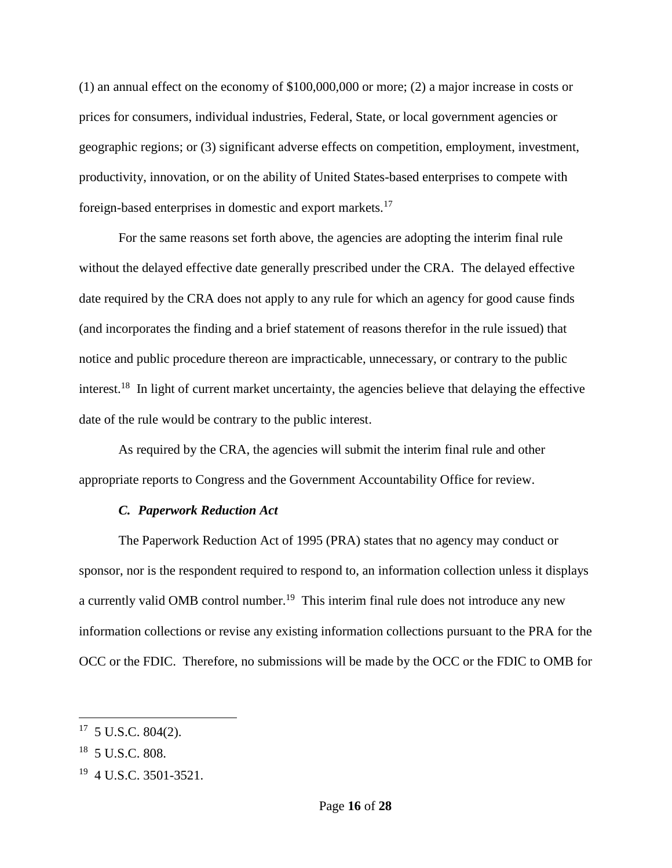(1) an annual effect on the economy of \$100,000,000 or more; (2) a major increase in costs or prices for consumers, individual industries, Federal, State, or local government agencies or geographic regions; or (3) significant adverse effects on competition, employment, investment, productivity, innovation, or on the ability of United States-based enterprises to compete with foreign-based enterprises in domestic and export markets.<sup>17</sup>

For the same reasons set forth above, the agencies are adopting the interim final rule without the delayed effective date generally prescribed under the CRA. The delayed effective date required by the CRA does not apply to any rule for which an agency for good cause finds (and incorporates the finding and a brief statement of reasons therefor in the rule issued) that notice and public procedure thereon are impracticable, unnecessary, or contrary to the public interest.<sup>18</sup> In light of current market uncertainty, the agencies believe that delaying the effective date of the rule would be contrary to the public interest.

As required by the CRA, the agencies will submit the interim final rule and other appropriate reports to Congress and the Government Accountability Office for review.

#### *C. Paperwork Reduction Act*

The Paperwork Reduction Act of 1995 (PRA) states that no agency may conduct or sponsor, nor is the respondent required to respond to, an information collection unless it displays a currently valid OMB control number.<sup>19</sup> This interim final rule does not introduce any new information collections or revise any existing information collections pursuant to the PRA for the OCC or the FDIC. Therefore, no submissions will be made by the OCC or the FDIC to OMB for

<sup>17</sup> 5 U.S.C. 804(2).

<sup>18</sup> 5 U.S.C. 808.

<sup>&</sup>lt;sup>19</sup> 4 U.S.C. 3501-3521.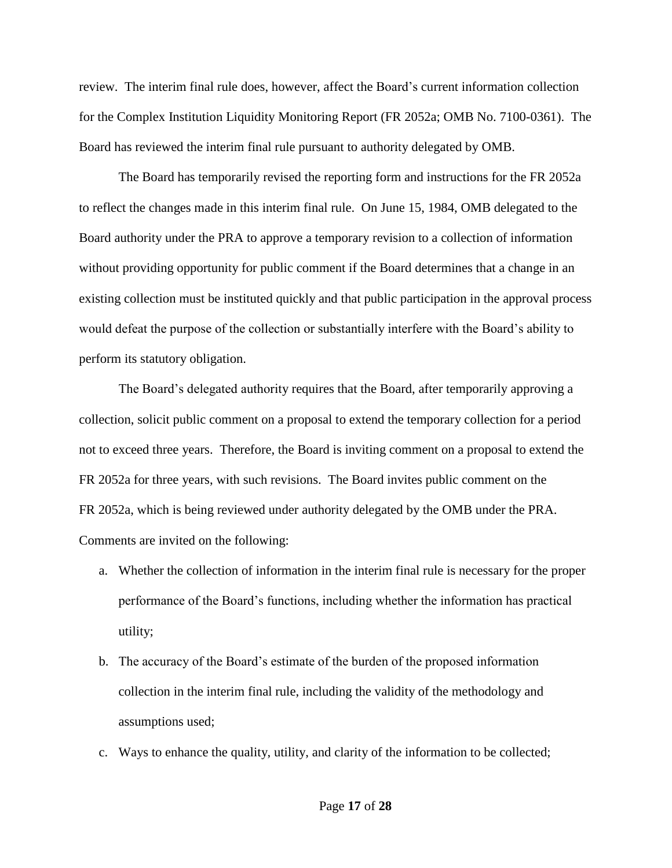review. The interim final rule does, however, affect the Board's current information collection for the Complex Institution Liquidity Monitoring Report (FR 2052a; OMB No. 7100-0361). The Board has reviewed the interim final rule pursuant to authority delegated by OMB.

The Board has temporarily revised the reporting form and instructions for the FR 2052a to reflect the changes made in this interim final rule. On June 15, 1984, OMB delegated to the Board authority under the PRA to approve a temporary revision to a collection of information without providing opportunity for public comment if the Board determines that a change in an existing collection must be instituted quickly and that public participation in the approval process would defeat the purpose of the collection or substantially interfere with the Board's ability to perform its statutory obligation.

The Board's delegated authority requires that the Board, after temporarily approving a collection, solicit public comment on a proposal to extend the temporary collection for a period not to exceed three years. Therefore, the Board is inviting comment on a proposal to extend the FR 2052a for three years, with such revisions. The Board invites public comment on the FR 2052a, which is being reviewed under authority delegated by the OMB under the PRA. Comments are invited on the following:

- a. Whether the collection of information in the interim final rule is necessary for the proper performance of the Board's functions, including whether the information has practical utility;
- b. The accuracy of the Board's estimate of the burden of the proposed information collection in the interim final rule, including the validity of the methodology and assumptions used;
- c. Ways to enhance the quality, utility, and clarity of the information to be collected;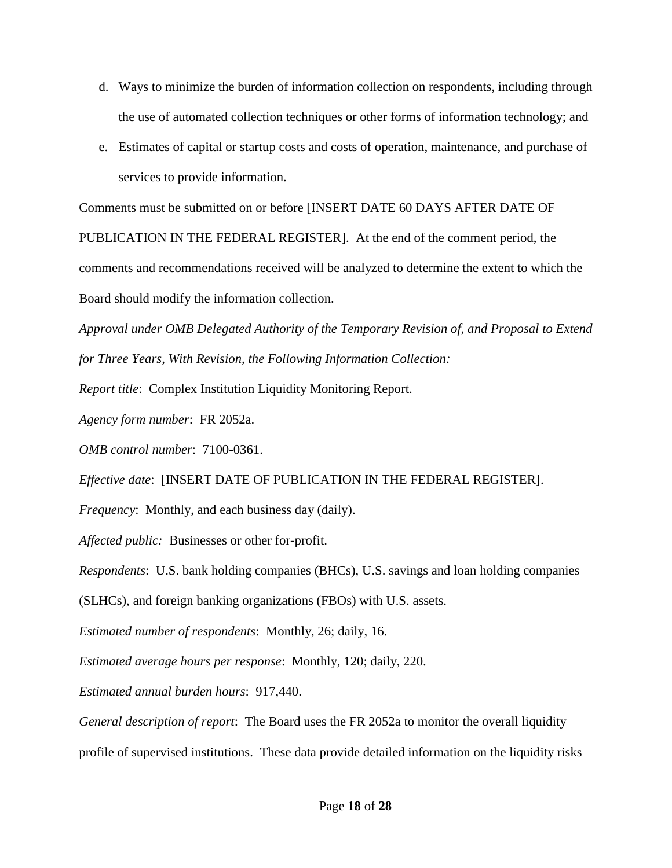- d. Ways to minimize the burden of information collection on respondents, including through the use of automated collection techniques or other forms of information technology; and
- e. Estimates of capital or startup costs and costs of operation, maintenance, and purchase of services to provide information.

Comments must be submitted on or before [INSERT DATE 60 DAYS AFTER DATE OF

PUBLICATION IN THE FEDERAL REGISTER]. At the end of the comment period, the comments and recommendations received will be analyzed to determine the extent to which the Board should modify the information collection.

*Approval under OMB Delegated Authority of the Temporary Revision of, and Proposal to Extend for Three Years, With Revision, the Following Information Collection:*

*Report title*: Complex Institution Liquidity Monitoring Report.

*Agency form number*: FR 2052a.

*OMB control number*: 7100-0361.

*Effective date*: [INSERT DATE OF PUBLICATION IN THE FEDERAL REGISTER].

*Frequency*: Monthly, and each business day (daily).

*Affected public:* Businesses or other for-profit.

*Respondents*: U.S. bank holding companies (BHCs), U.S. savings and loan holding companies

(SLHCs), and foreign banking organizations (FBOs) with U.S. assets.

*Estimated number of respondents*: Monthly, 26; daily, 16.

*Estimated average hours per response*: Monthly, 120; daily, 220.

*Estimated annual burden hours*: 917,440.

*General description of report*: The Board uses the FR 2052a to monitor the overall liquidity profile of supervised institutions. These data provide detailed information on the liquidity risks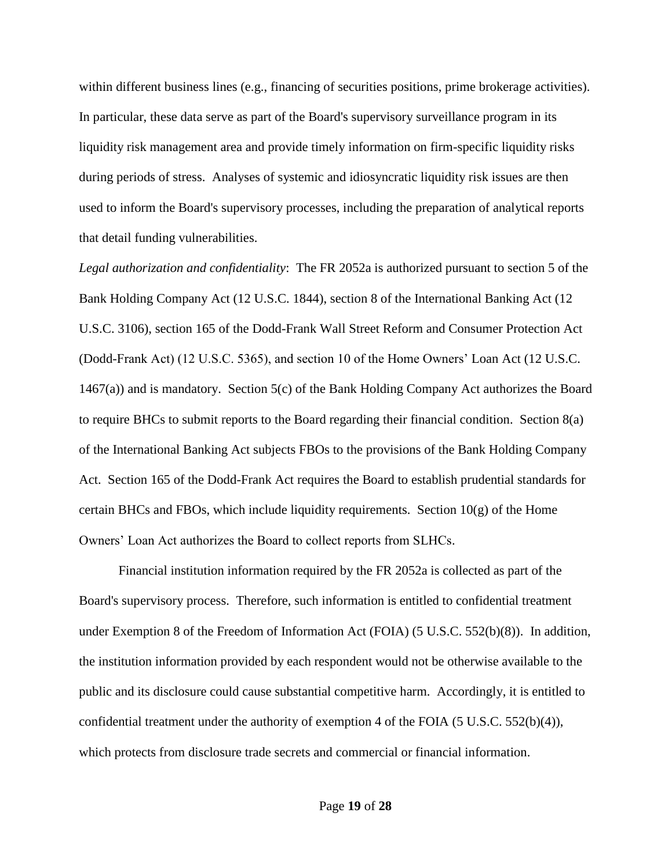within different business lines (e.g., financing of securities positions, prime brokerage activities). In particular, these data serve as part of the Board's supervisory surveillance program in its liquidity risk management area and provide timely information on firm-specific liquidity risks during periods of stress. Analyses of systemic and idiosyncratic liquidity risk issues are then used to inform the Board's supervisory processes, including the preparation of analytical reports that detail funding vulnerabilities.

*Legal authorization and confidentiality*: The FR 2052a is authorized pursuant to section 5 of the Bank Holding Company Act (12 U.S.C. 1844), section 8 of the International Banking Act (12 U.S.C. 3106), section 165 of the Dodd-Frank Wall Street Reform and Consumer Protection Act (Dodd-Frank Act) (12 U.S.C. 5365), and section 10 of the Home Owners' Loan Act (12 U.S.C. 1467(a)) and is mandatory. Section 5(c) of the Bank Holding Company Act authorizes the Board to require BHCs to submit reports to the Board regarding their financial condition. Section 8(a) of the International Banking Act subjects FBOs to the provisions of the Bank Holding Company Act. Section 165 of the Dodd-Frank Act requires the Board to establish prudential standards for certain BHCs and FBOs, which include liquidity requirements. Section  $10(g)$  of the Home Owners' Loan Act authorizes the Board to collect reports from SLHCs.

Financial institution information required by the FR 2052a is collected as part of the Board's supervisory process. Therefore, such information is entitled to confidential treatment under Exemption 8 of the Freedom of Information Act (FOIA) (5 U.S.C. 552(b)(8)). In addition, the institution information provided by each respondent would not be otherwise available to the public and its disclosure could cause substantial competitive harm. Accordingly, it is entitled to confidential treatment under the authority of exemption 4 of the FOIA  $(5 \text{ U.S.C. } 552(b)(4))$ , which protects from disclosure trade secrets and commercial or financial information.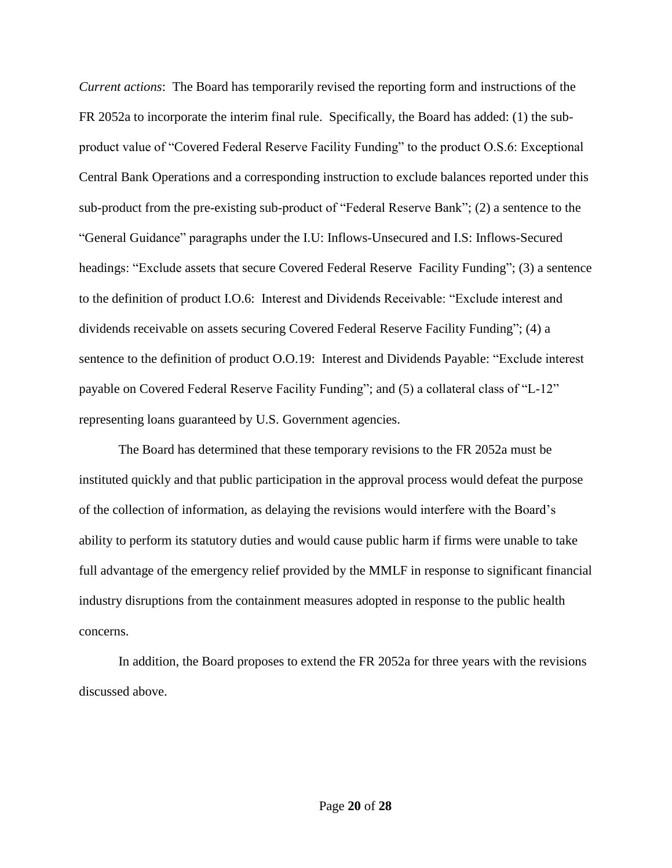*Current actions*: The Board has temporarily revised the reporting form and instructions of the FR 2052a to incorporate the interim final rule. Specifically, the Board has added: (1) the subproduct value of "Covered Federal Reserve Facility Funding" to the product O.S.6: Exceptional Central Bank Operations and a corresponding instruction to exclude balances reported under this sub-product from the pre-existing sub-product of "Federal Reserve Bank"; (2) a sentence to the "General Guidance" paragraphs under the I.U: Inflows-Unsecured and I.S: Inflows-Secured headings: "Exclude assets that secure Covered Federal Reserve Facility Funding"; (3) a sentence to the definition of product I.O.6: Interest and Dividends Receivable: "Exclude interest and dividends receivable on assets securing Covered Federal Reserve Facility Funding"; (4) a sentence to the definition of product O.O.19: Interest and Dividends Payable: "Exclude interest payable on Covered Federal Reserve Facility Funding"; and (5) a collateral class of "L-12" representing loans guaranteed by U.S. Government agencies.

The Board has determined that these temporary revisions to the FR 2052a must be instituted quickly and that public participation in the approval process would defeat the purpose of the collection of information, as delaying the revisions would interfere with the Board's ability to perform its statutory duties and would cause public harm if firms were unable to take full advantage of the emergency relief provided by the MMLF in response to significant financial industry disruptions from the containment measures adopted in response to the public health concerns.

In addition, the Board proposes to extend the FR 2052a for three years with the revisions discussed above.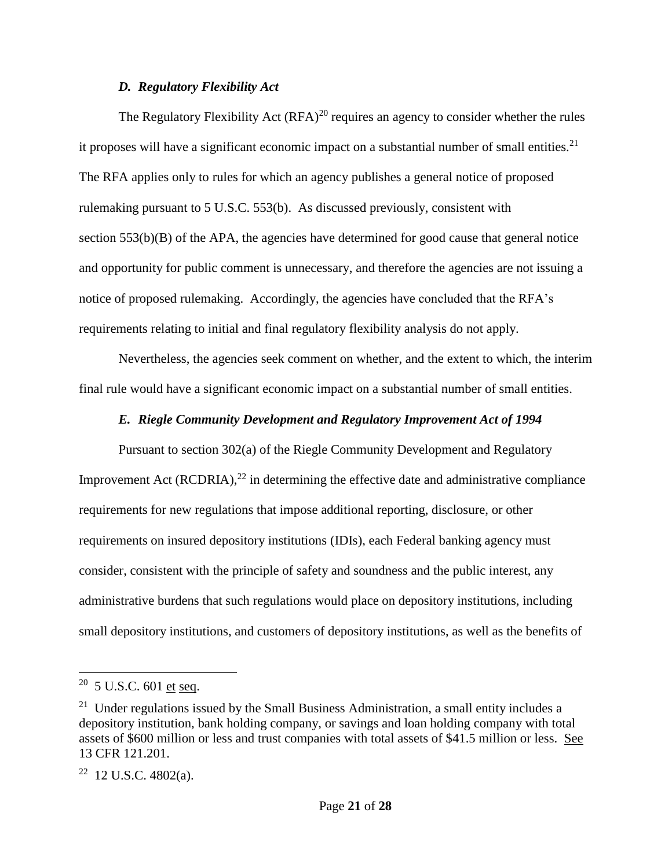#### *D. Regulatory Flexibility Act*

The Regulatory Flexibility Act  $(RFA)^{20}$  requires an agency to consider whether the rules it proposes will have a significant economic impact on a substantial number of small entities.<sup>21</sup> The RFA applies only to rules for which an agency publishes a general notice of proposed rulemaking pursuant to 5 U.S.C. 553(b). As discussed previously, consistent with section  $553(b)(B)$  of the APA, the agencies have determined for good cause that general notice and opportunity for public comment is unnecessary, and therefore the agencies are not issuing a notice of proposed rulemaking. Accordingly, the agencies have concluded that the RFA's requirements relating to initial and final regulatory flexibility analysis do not apply.

Nevertheless, the agencies seek comment on whether, and the extent to which, the interim final rule would have a significant economic impact on a substantial number of small entities.

### *E. Riegle Community Development and Regulatory Improvement Act of 1994*

Pursuant to section 302(a) of the Riegle Community Development and Regulatory Improvement Act (RCDRIA), $^{22}$  in determining the effective date and administrative compliance requirements for new regulations that impose additional reporting, disclosure, or other requirements on insured depository institutions (IDIs), each Federal banking agency must consider, consistent with the principle of safety and soundness and the public interest, any administrative burdens that such regulations would place on depository institutions, including small depository institutions, and customers of depository institutions, as well as the benefits of

 $20\,$  5 U.S.C. 601 et seq.

 $21$  Under regulations issued by the Small Business Administration, a small entity includes a depository institution, bank holding company, or savings and loan holding company with total assets of \$600 million or less and trust companies with total assets of \$41.5 million or less. See 13 CFR 121.201.

 $22$  12 U.S.C. 4802(a).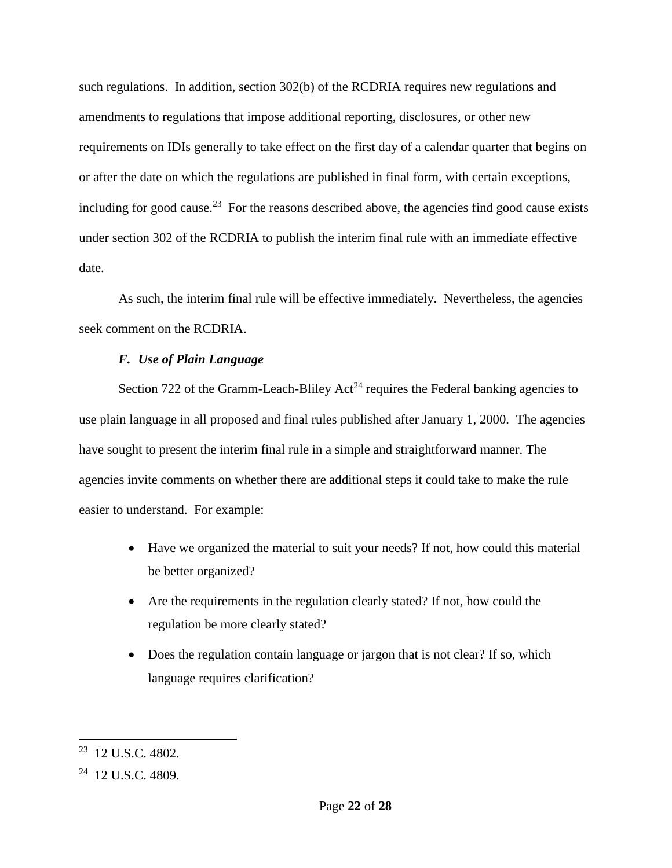such regulations. In addition, section 302(b) of the RCDRIA requires new regulations and amendments to regulations that impose additional reporting, disclosures, or other new requirements on IDIs generally to take effect on the first day of a calendar quarter that begins on or after the date on which the regulations are published in final form, with certain exceptions, including for good cause.<sup>23</sup> For the reasons described above, the agencies find good cause exists under section 302 of the RCDRIA to publish the interim final rule with an immediate effective date.

As such, the interim final rule will be effective immediately. Nevertheless, the agencies seek comment on the RCDRIA.

## *F. Use of Plain Language*

Section 722 of the Gramm-Leach-Bliley Act<sup>24</sup> requires the Federal banking agencies to use plain language in all proposed and final rules published after January 1, 2000. The agencies have sought to present the interim final rule in a simple and straightforward manner. The agencies invite comments on whether there are additional steps it could take to make the rule easier to understand. For example:

- Have we organized the material to suit your needs? If not, how could this material be better organized?
- Are the requirements in the regulation clearly stated? If not, how could the regulation be more clearly stated?
- Does the regulation contain language or jargon that is not clear? If so, which language requires clarification?

<sup>23</sup> 12 U.S.C. 4802.

<sup>&</sup>lt;sup>24</sup> 12 U.S.C. 4809.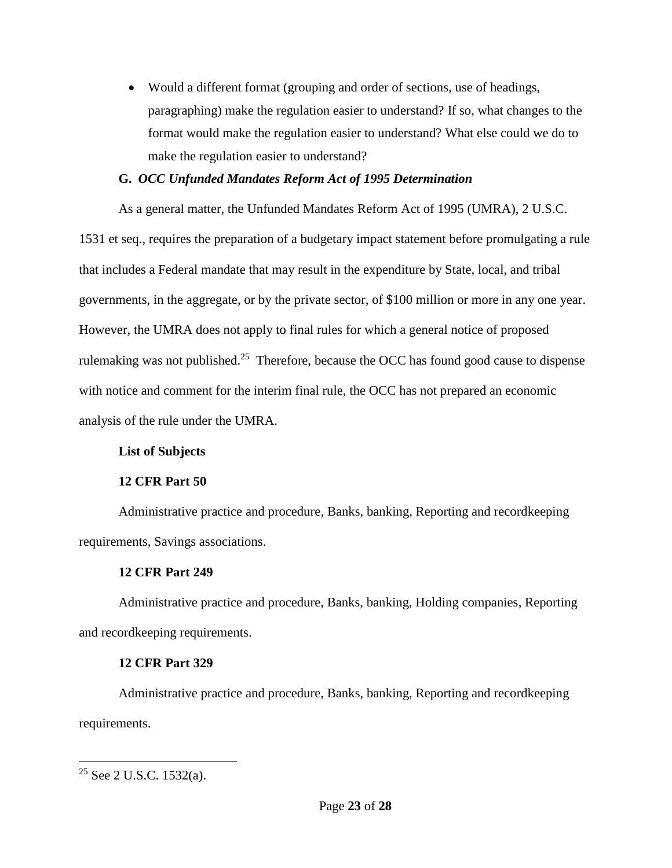Would a different format (grouping and order of sections, use of headings, paragraphing) make the regulation easier to understand? If so, what changes to the format would make the regulation easier to understand? What else could we do to make the regulation easier to understand?

### **G.** *OCC Unfunded Mandates Reform Act of 1995 Determination*

As a general matter, the Unfunded Mandates Reform Act of 1995 (UMRA), 2 U.S.C.

1531 et seq., requires the preparation of a budgetary impact statement before promulgating a rule that includes a Federal mandate that may result in the expenditure by State, local, and tribal governments, in the aggregate, or by the private sector, of \$100 million or more in any one year. However, the UMRA does not apply to final rules for which a general notice of proposed rulemaking was not published.<sup>25</sup> Therefore, because the OCC has found good cause to dispense with notice and comment for the interim final rule, the OCC has not prepared an economic analysis of the rule under the UMRA.

## **List of Subjects**

## **12 CFR Part 50**

Administrative practice and procedure, Banks, banking, Reporting and recordkeeping requirements, Savings associations.

## **12 CFR Part 249**

Administrative practice and procedure, Banks, banking, Holding companies, Reporting and recordkeeping requirements.

## **12 CFR Part 329**

Administrative practice and procedure, Banks, banking, Reporting and recordkeeping requirements.

<sup>&</sup>lt;sup>25</sup> See 2 U.S.C. 1532(a).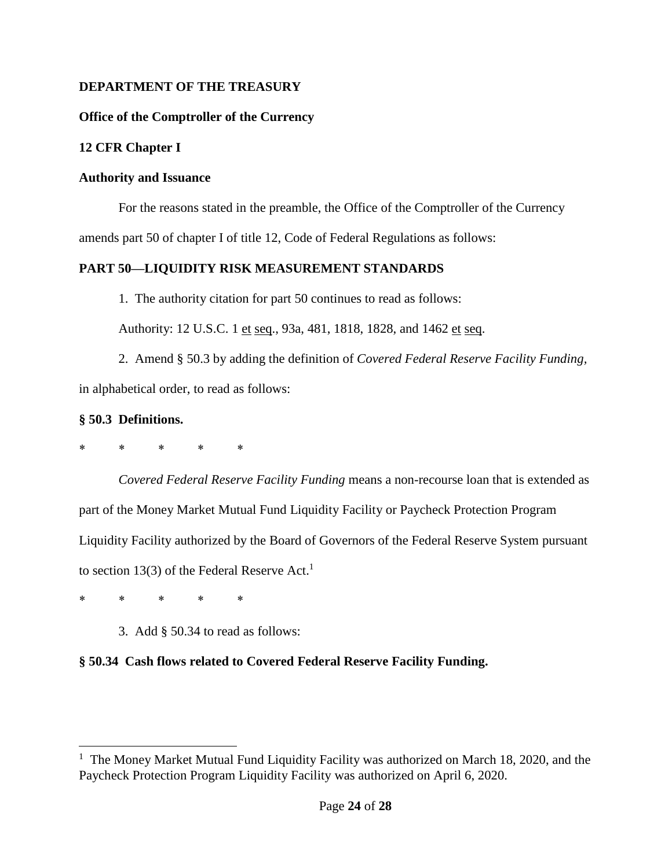## **DEPARTMENT OF THE TREASURY**

## **Office of the Comptroller of the Currency**

# **12 CFR Chapter I**

## **Authority and Issuance**

For the reasons stated in the preamble, the Office of the Comptroller of the Currency amends part 50 of chapter I of title 12, Code of Federal Regulations as follows:

# **PART 50—LIQUIDITY RISK MEASUREMENT STANDARDS**

1. The authority citation for part 50 continues to read as follows:

Authority: 12 U.S.C. 1 et seq., 93a, 481, 1818, 1828, and 1462 et seq.

2. Amend § 50.3 by adding the definition of *Covered Federal Reserve Facility Funding,* in alphabetical order, to read as follows:

## **§ 50.3 Definitions.**

\* \* \* \* \*

*Covered Federal Reserve Facility Funding* means a non-recourse loan that is extended as part of the Money Market Mutual Fund Liquidity Facility or Paycheck Protection Program Liquidity Facility authorized by the Board of Governors of the Federal Reserve System pursuant to section 13(3) of the Federal Reserve Act. 1

\* \* \* \* \*

 $\overline{a}$ 

3. Add § 50.34 to read as follows:

# **§ 50.34 Cash flows related to Covered Federal Reserve Facility Funding.**

<sup>&</sup>lt;sup>1</sup> The Money Market Mutual Fund Liquidity Facility was authorized on March 18, 2020, and the Paycheck Protection Program Liquidity Facility was authorized on April 6, 2020.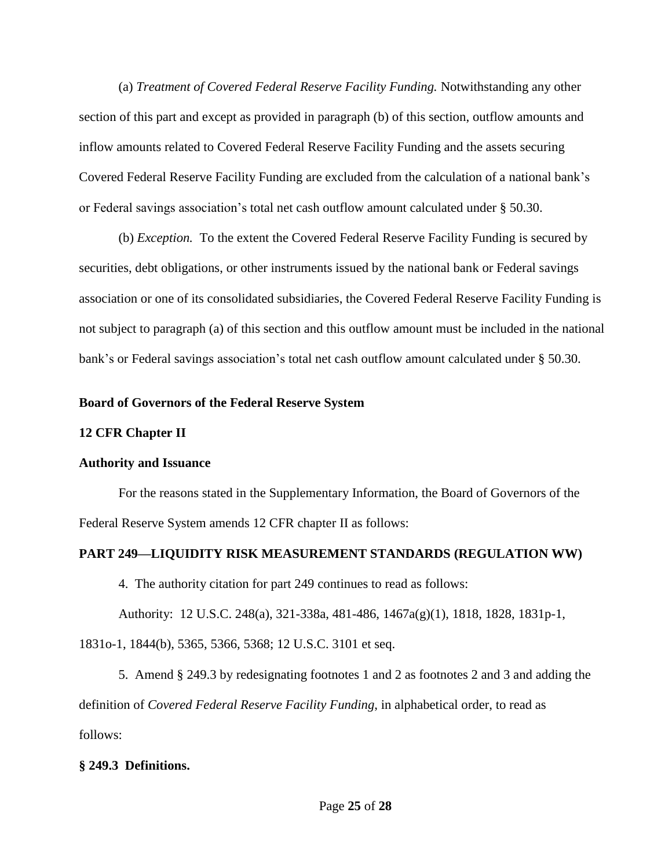(a) *Treatment of Covered Federal Reserve Facility Funding.* Notwithstanding any other section of this part and except as provided in paragraph (b) of this section, outflow amounts and inflow amounts related to Covered Federal Reserve Facility Funding and the assets securing Covered Federal Reserve Facility Funding are excluded from the calculation of a national bank's or Federal savings association's total net cash outflow amount calculated under § 50.30.

(b) *Exception.* To the extent the Covered Federal Reserve Facility Funding is secured by securities, debt obligations, or other instruments issued by the national bank or Federal savings association or one of its consolidated subsidiaries, the Covered Federal Reserve Facility Funding is not subject to paragraph (a) of this section and this outflow amount must be included in the national bank's or Federal savings association's total net cash outflow amount calculated under § 50.30.

### **Board of Governors of the Federal Reserve System**

### **12 CFR Chapter II**

### **Authority and Issuance**

For the reasons stated in the Supplementary Information, the Board of Governors of the Federal Reserve System amends 12 CFR chapter II as follows:

### **PART 249—LIQUIDITY RISK MEASUREMENT STANDARDS (REGULATION WW)**

4. The authority citation for part 249 continues to read as follows:

Authority: 12 U.S.C. 248(a), 321-338a, 481-486, 1467a(g)(1), 1818, 1828, 1831p-1,

1831o-1, 1844(b), 5365, 5366, 5368; 12 U.S.C. 3101 et seq.

5. Amend § 249.3 by redesignating footnotes 1 and 2 as footnotes 2 and 3 and adding the definition of *Covered Federal Reserve Facility Funding*, in alphabetical order, to read as follows:

## **§ 249.3 Definitions.**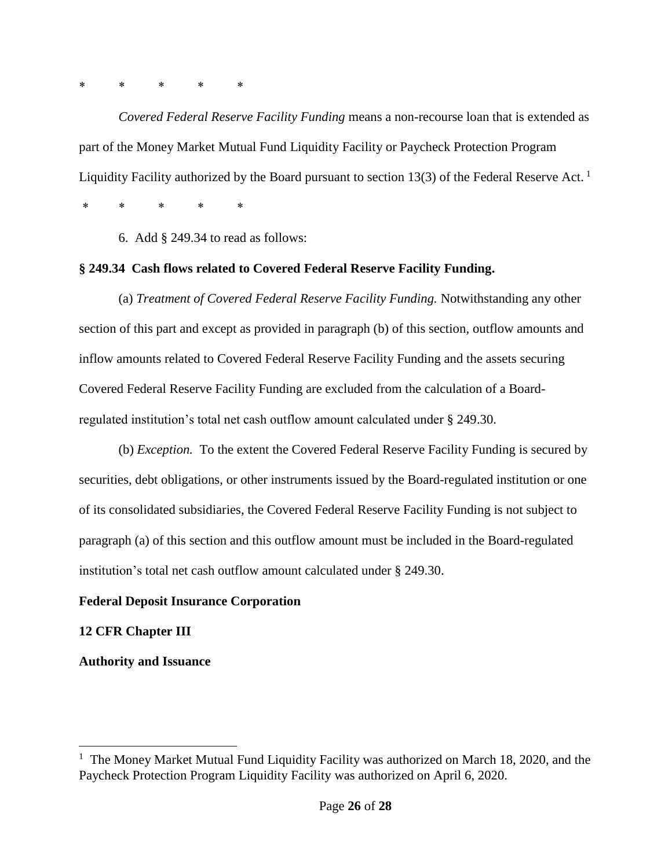## \* \* \* \* \*

*Covered Federal Reserve Facility Funding* means a non-recourse loan that is extended as part of the Money Market Mutual Fund Liquidity Facility or Paycheck Protection Program Liquidity Facility authorized by the Board pursuant to section 13(3) of the Federal Reserve Act.<sup>1</sup>

\* \* \* \* \*

6. Add § 249.34 to read as follows:

### **§ 249.34 Cash flows related to Covered Federal Reserve Facility Funding.**

(a) *Treatment of Covered Federal Reserve Facility Funding.* Notwithstanding any other section of this part and except as provided in paragraph (b) of this section, outflow amounts and inflow amounts related to Covered Federal Reserve Facility Funding and the assets securing Covered Federal Reserve Facility Funding are excluded from the calculation of a Boardregulated institution's total net cash outflow amount calculated under § 249.30.

(b) *Exception.* To the extent the Covered Federal Reserve Facility Funding is secured by securities, debt obligations, or other instruments issued by the Board-regulated institution or one of its consolidated subsidiaries, the Covered Federal Reserve Facility Funding is not subject to paragraph (a) of this section and this outflow amount must be included in the Board-regulated institution's total net cash outflow amount calculated under § 249.30.

### **Federal Deposit Insurance Corporation**

## **12 CFR Chapter III**

 $\overline{a}$ 

**Authority and Issuance** 

<sup>&</sup>lt;sup>1</sup> The Money Market Mutual Fund Liquidity Facility was authorized on March 18, 2020, and the Paycheck Protection Program Liquidity Facility was authorized on April 6, 2020.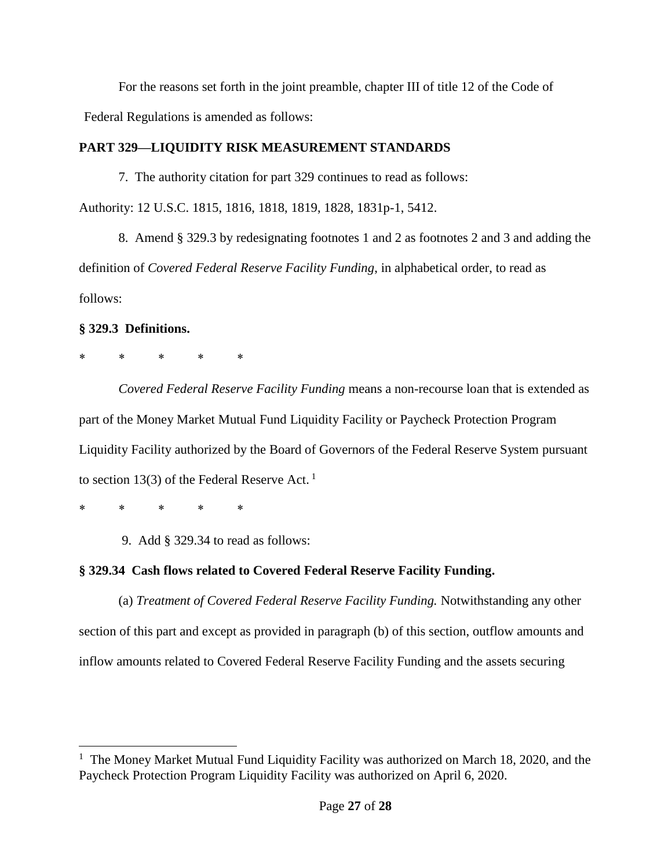For the reasons set forth in the joint preamble, chapter III of title 12 of the Code of Federal Regulations is amended as follows:

# **PART 329—LIQUIDITY RISK MEASUREMENT STANDARDS**

7. The authority citation for part 329 continues to read as follows: Authority: 12 U.S.C. 1815, 1816, 1818, 1819, 1828, 1831p-1, 5412.

8. Amend § 329.3 by redesignating footnotes 1 and 2 as footnotes 2 and 3 and adding the definition of *Covered Federal Reserve Facility Funding*, in alphabetical order, to read as follows:

# **§ 329.3 Definitions.**

# \* \* \* \* \*

*Covered Federal Reserve Facility Funding* means a non-recourse loan that is extended as part of the Money Market Mutual Fund Liquidity Facility or Paycheck Protection Program Liquidity Facility authorized by the Board of Governors of the Federal Reserve System pursuant to section 13(3) of the Federal Reserve Act.<sup>1</sup>

\* \* \* \* \*

 $\overline{a}$ 

9. Add § 329.34 to read as follows:

# **§ 329.34 Cash flows related to Covered Federal Reserve Facility Funding.**

(a) *Treatment of Covered Federal Reserve Facility Funding.* Notwithstanding any other section of this part and except as provided in paragraph (b) of this section, outflow amounts and inflow amounts related to Covered Federal Reserve Facility Funding and the assets securing

<sup>&</sup>lt;sup>1</sup> The Money Market Mutual Fund Liquidity Facility was authorized on March 18, 2020, and the Paycheck Protection Program Liquidity Facility was authorized on April 6, 2020.